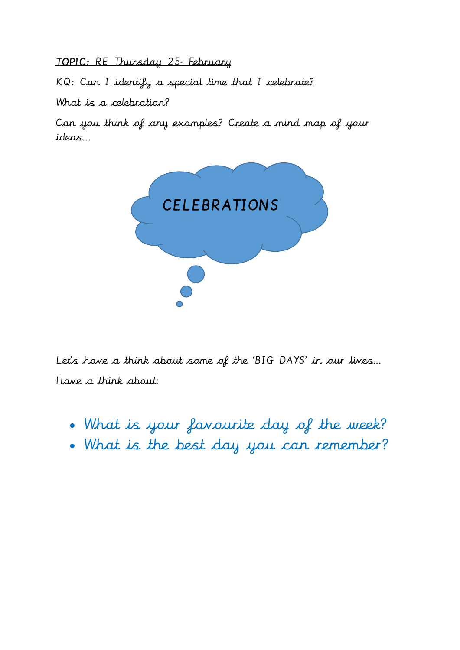TOPIC: RE Thursday 25 February

KQ: Can I identify a special time that I celebrate?

What is a celebration?

Can you think of any examples? Create a mind map of your ideas…



Let's have a think about some of the 'BIG DAYS' in our lives… Have a think about:

- What is your favourite day of the week?
- What is the best day you can remember?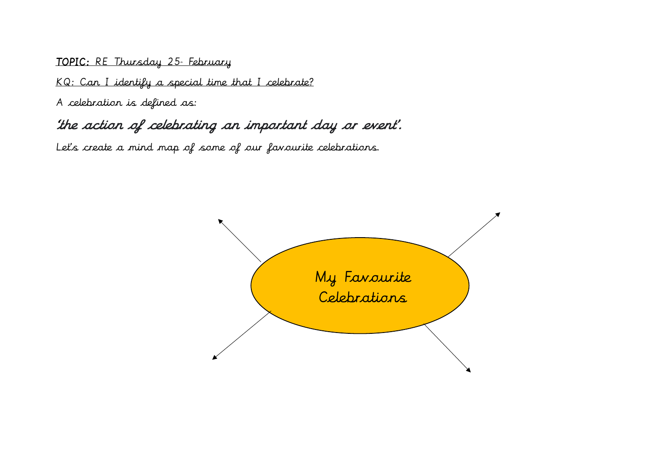#### TOPIC: RE Thursday 25 February

KQ: Can I identify a special time that I celebrate?

A celebration is defined as:

## 'the action of celebrating an important day or event'.

Let's create a mind map of some of our favourite celebrations.

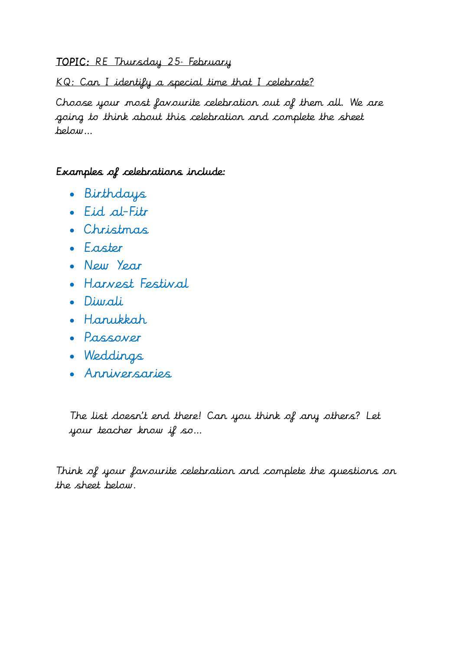### TOPIC: RE Thursday 25 February

KQ: Can I identify a special time that I celebrate?

Choose your most favourite celebration out of them all. We are going to think about this celebration and complete the sheet below…

### Examples of celebrations include:

- Birthdays
- Eid al-Fitr
- Christmas
- Easter
- New Year
- Harvest Festival
- Diwali
- Hanukkah
- Passover
- Weddings
- Anniversaries

The list doesn't end there! Can you think of any others? Let your teacher know if so…

Think of your favourite celebration and complete the questions on the sheet below.